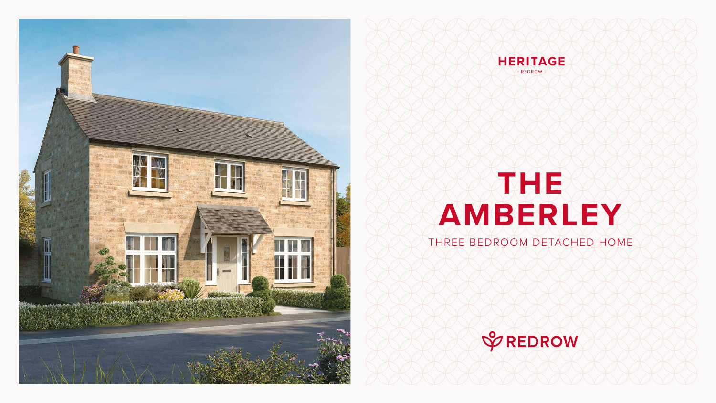# **THE AMBERLEY**

#### THREE BEDROOM DETACHED HOME







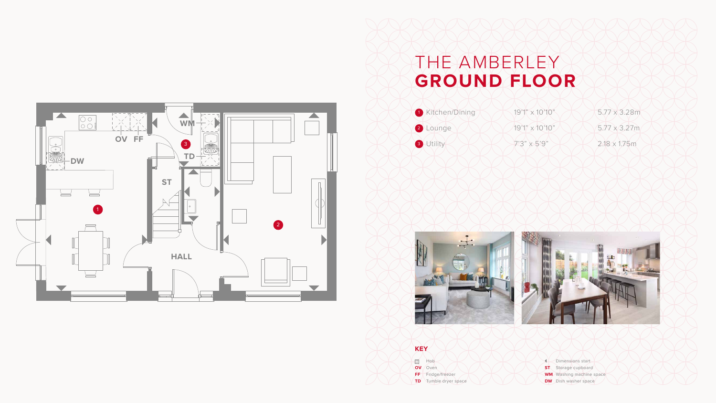## THE AMBERLEY **GROUND FLOOR**







**BOO** Hob **OV** Oven

**FF** Fridge/freezer

#### **KEY**

**TD** Tumble dryer space

Dimensions start **ST** Storage cupboard **WM** Washing machine space **DW** Dish washer space